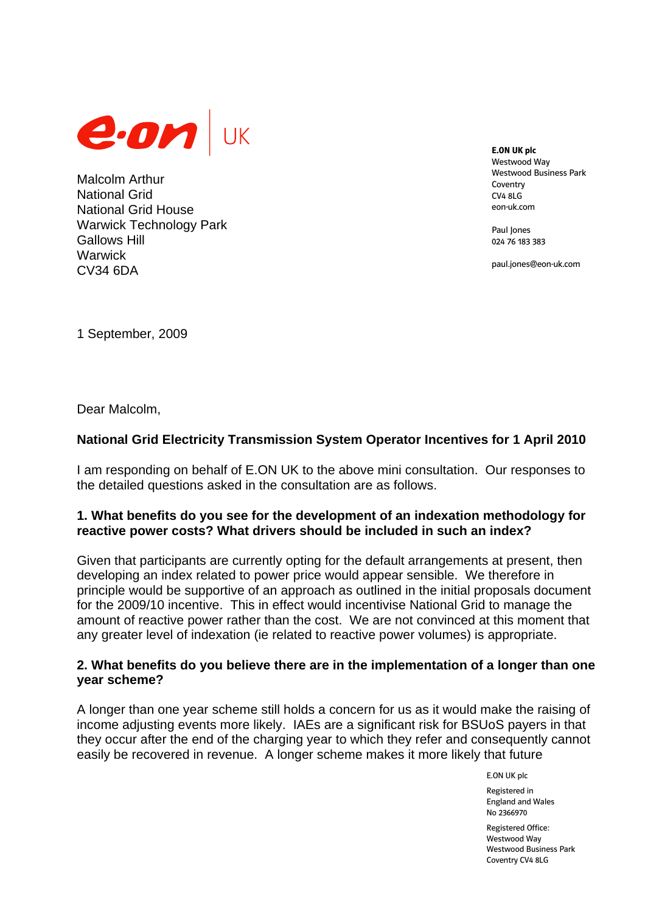

Malcolm Arthur National Grid National Grid House Warwick Technology Park Gallows Hill **Warwick** CV34 6DA

**E.ON UK plc**  Westwood Way Westwood Business Park Coventry CV4 8LG eon-uk.com

Paul Iones 024 76 183 383

paul.jones@eon-uk.com

1 September, 2009

Dear Malcolm,

# **National Grid Electricity Transmission System Operator Incentives for 1 April 2010**

I am responding on behalf of E.ON UK to the above mini consultation. Our responses to the detailed questions asked in the consultation are as follows.

## **1. What benefits do you see for the development of an indexation methodology for reactive power costs? What drivers should be included in such an index?**

Given that participants are currently opting for the default arrangements at present, then developing an index related to power price would appear sensible. We therefore in principle would be supportive of an approach as outlined in the initial proposals document for the 2009/10 incentive. This in effect would incentivise National Grid to manage the amount of reactive power rather than the cost. We are not convinced at this moment that any greater level of indexation (ie related to reactive power volumes) is appropriate.

## **2. What benefits do you believe there are in the implementation of a longer than one year scheme?**

A longer than one year scheme still holds a concern for us as it would make the raising of income adjusting events more likely. IAEs are a significant risk for BSUoS payers in that they occur after the end of the charging year to which they refer and consequently cannot easily be recovered in revenue. A longer scheme makes it more likely that future

E.ON UK plc

Registered in England and Wales No 2366970

Registered Office: Westwood Way Westwood Business Park Coventry CV4 8LG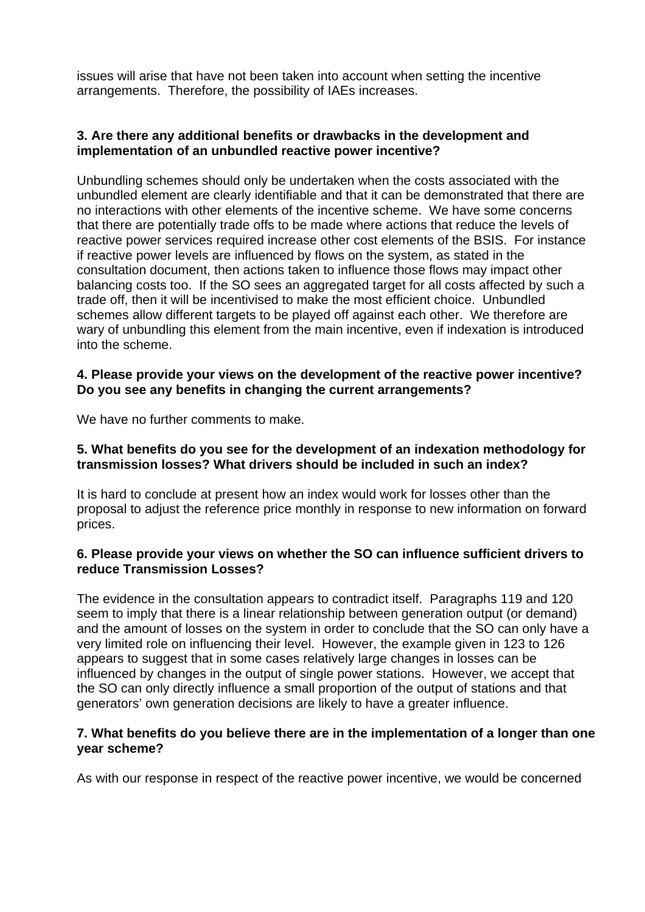issues will arise that have not been taken into account when setting the incentive arrangements. Therefore, the possibility of IAEs increases.

## **3. Are there any additional benefits or drawbacks in the development and implementation of an unbundled reactive power incentive?**

Unbundling schemes should only be undertaken when the costs associated with the unbundled element are clearly identifiable and that it can be demonstrated that there are no interactions with other elements of the incentive scheme. We have some concerns that there are potentially trade offs to be made where actions that reduce the levels of reactive power services required increase other cost elements of the BSIS. For instance if reactive power levels are influenced by flows on the system, as stated in the consultation document, then actions taken to influence those flows may impact other balancing costs too. If the SO sees an aggregated target for all costs affected by such a trade off, then it will be incentivised to make the most efficient choice. Unbundled schemes allow different targets to be played off against each other. We therefore are wary of unbundling this element from the main incentive, even if indexation is introduced into the scheme.

## **4. Please provide your views on the development of the reactive power incentive? Do you see any benefits in changing the current arrangements?**

We have no further comments to make.

#### **5. What benefits do you see for the development of an indexation methodology for transmission losses? What drivers should be included in such an index?**

It is hard to conclude at present how an index would work for losses other than the proposal to adjust the reference price monthly in response to new information on forward prices.

#### **6. Please provide your views on whether the SO can influence sufficient drivers to reduce Transmission Losses?**

The evidence in the consultation appears to contradict itself. Paragraphs 119 and 120 seem to imply that there is a linear relationship between generation output (or demand) and the amount of losses on the system in order to conclude that the SO can only have a very limited role on influencing their level. However, the example given in 123 to 126 appears to suggest that in some cases relatively large changes in losses can be influenced by changes in the output of single power stations. However, we accept that the SO can only directly influence a small proportion of the output of stations and that generators' own generation decisions are likely to have a greater influence.

#### **7. What benefits do you believe there are in the implementation of a longer than one year scheme?**

As with our response in respect of the reactive power incentive, we would be concerned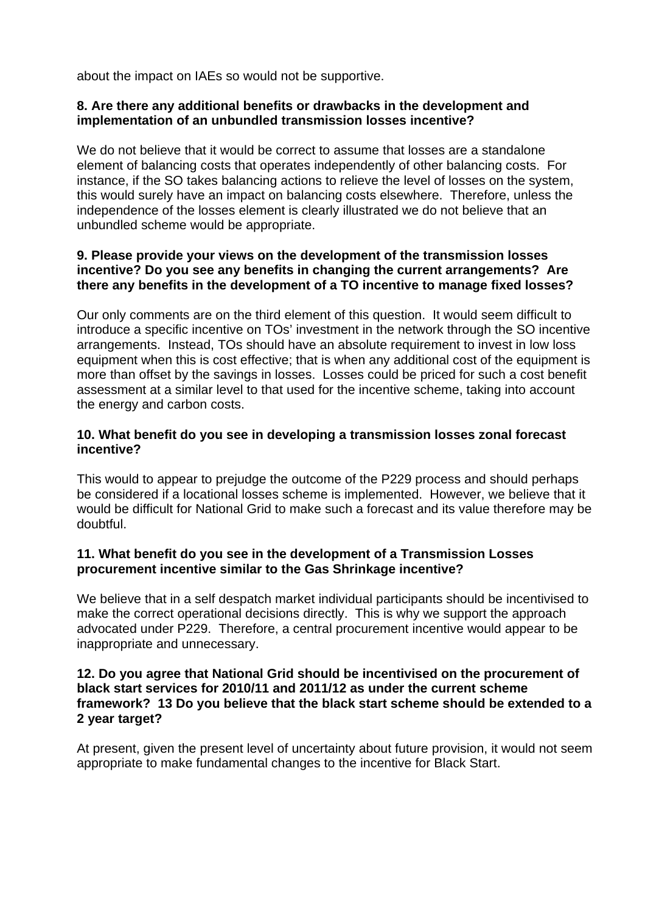about the impact on IAEs so would not be supportive.

## **8. Are there any additional benefits or drawbacks in the development and implementation of an unbundled transmission losses incentive?**

We do not believe that it would be correct to assume that losses are a standalone element of balancing costs that operates independently of other balancing costs. For instance, if the SO takes balancing actions to relieve the level of losses on the system, this would surely have an impact on balancing costs elsewhere. Therefore, unless the independence of the losses element is clearly illustrated we do not believe that an unbundled scheme would be appropriate.

## **9. Please provide your views on the development of the transmission losses incentive? Do you see any benefits in changing the current arrangements? Are there any benefits in the development of a TO incentive to manage fixed losses?**

Our only comments are on the third element of this question. It would seem difficult to introduce a specific incentive on TOs' investment in the network through the SO incentive arrangements. Instead, TOs should have an absolute requirement to invest in low loss equipment when this is cost effective; that is when any additional cost of the equipment is more than offset by the savings in losses. Losses could be priced for such a cost benefit assessment at a similar level to that used for the incentive scheme, taking into account the energy and carbon costs.

## **10. What benefit do you see in developing a transmission losses zonal forecast incentive?**

This would to appear to prejudge the outcome of the P229 process and should perhaps be considered if a locational losses scheme is implemented. However, we believe that it would be difficult for National Grid to make such a forecast and its value therefore may be doubtful.

## **11. What benefit do you see in the development of a Transmission Losses procurement incentive similar to the Gas Shrinkage incentive?**

We believe that in a self despatch market individual participants should be incentivised to make the correct operational decisions directly. This is why we support the approach advocated under P229. Therefore, a central procurement incentive would appear to be inappropriate and unnecessary.

### **12. Do you agree that National Grid should be incentivised on the procurement of black start services for 2010/11 and 2011/12 as under the current scheme framework? 13 Do you believe that the black start scheme should be extended to a 2 year target?**

At present, given the present level of uncertainty about future provision, it would not seem appropriate to make fundamental changes to the incentive for Black Start.